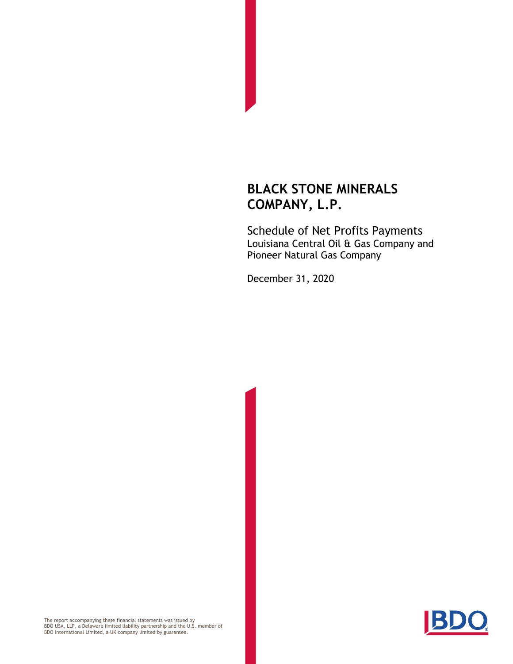Schedule of Net Profits Payments Louisiana Central Oil & Gas Company and Pioneer Natural Gas Company

December 31, 2020



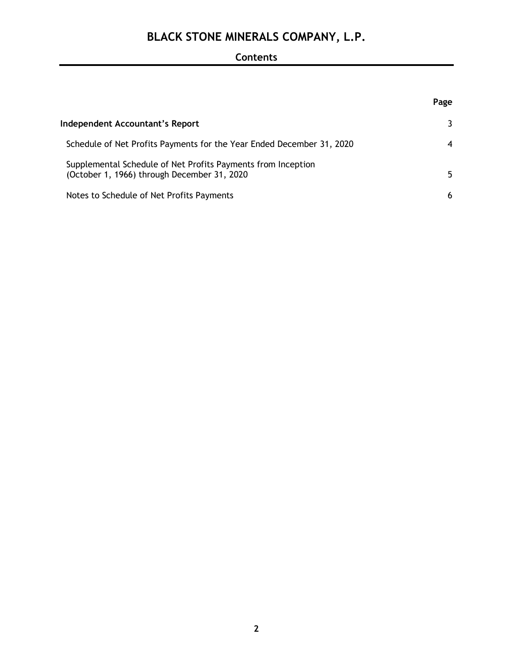## **Contents**

|                                                                                                             | Page             |
|-------------------------------------------------------------------------------------------------------------|------------------|
| Independent Accountant's Report                                                                             | 3                |
| Schedule of Net Profits Payments for the Year Ended December 31, 2020                                       | $\boldsymbol{4}$ |
| Supplemental Schedule of Net Profits Payments from Inception<br>(October 1, 1966) through December 31, 2020 | 5.               |
| Notes to Schedule of Net Profits Payments                                                                   | 6                |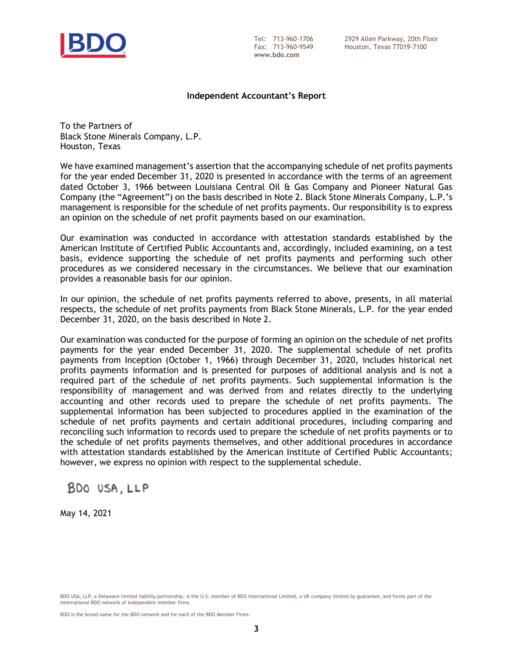

**www.bdo.com**

Tel: 713-960-1706 2929 Allen Parkway, 20th Floor Houston, Texas 77019-7100

#### **Independent Accountant's Report**

To the Partners of Black Stone Minerals Company, L.P. Houston, Texas

We have examined management's assertion that the accompanying schedule of net profits payments for the year ended December 31, 2020 is presented in accordance with the terms of an agreement dated October 3, 1966 between Louisiana Central Oil & Gas Company and Pioneer Natural Gas Company (the "Agreement") on the basis described in Note 2. Black Stone Minerals Company, L.P.'s management is responsible for the schedule of net profits payments. Our responsibility is to express an opinion on the schedule of net profit payments based on our examination.

Our examination was conducted in accordance with attestation standards established by the American Institute of Certified Public Accountants and, accordingly, included examining, on a test basis, evidence supporting the schedule of net profits payments and performing such other procedures as we considered necessary in the circumstances. We believe that our examination provides a reasonable basis for our opinion.

In our opinion, the schedule of net profits payments referred to above, presents, in all material respects, the schedule of net profits payments from Black Stone Minerals, L.P. for the year ended December 31, 2020, on the basis described in Note 2.

Our examination was conducted for the purpose of forming an opinion on the schedule of net profits payments for the year ended December 31, 2020. The supplemental schedule of net profits payments from Inception (October 1, 1966) through December 31, 2020, includes historical net profits payments information and is presented for purposes of additional analysis and is not a required part of the schedule of net profits payments. Such supplemental information is the responsibility of management and was derived from and relates directly to the underlying accounting and other records used to prepare the schedule of net profits payments. The supplemental information has been subjected to procedures applied in the examination of the schedule of net profits payments and certain additional procedures, including comparing and reconciling such information to records used to prepare the schedule of net profits payments or to the schedule of net profits payments themselves, and other additional procedures in accordance with attestation standards established by the American Institute of Certified Public Accountants; however, we express no opinion with respect to the supplemental schedule.

BDO USA, LLP

May 14, 2021

BDO is the brand name for the BDO network and for each of the BDO Member Firms.

BDO USA, LLP, a Delaware limited liability partnership, is the U.S. member of BDO International Limited, a UK company limited by guarantee, and forms part of the international BDO network of independent member firms.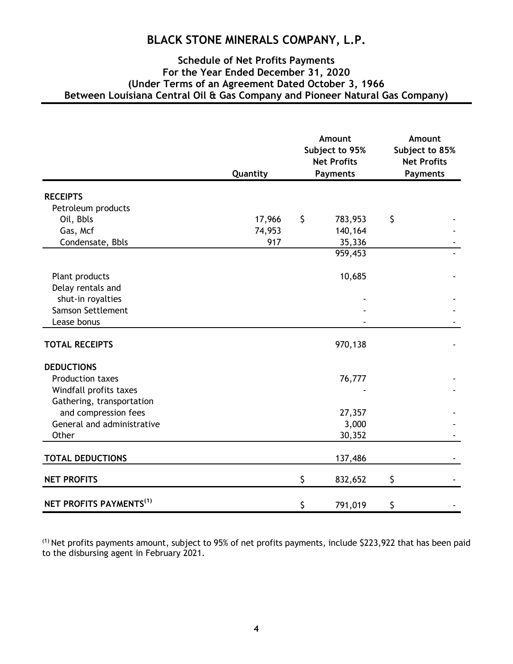#### **Schedule of Net Profits Payments For the Year Ended December 31, 2020 (Under Terms of an Agreement Dated October 3, 1966 Between Louisiana Central Oil & Gas Company and Pioneer Natural Gas Company)**

|     |                              | Amount<br>Subject to 95%<br><b>Net Profits</b> |                                                                                            | Amount<br>Subject to 85%<br><b>Net Profits</b> |  |
|-----|------------------------------|------------------------------------------------|--------------------------------------------------------------------------------------------|------------------------------------------------|--|
|     |                              |                                                | <b>Payments</b>                                                                            |                                                |  |
|     |                              |                                                |                                                                                            |                                                |  |
|     |                              |                                                |                                                                                            |                                                |  |
|     |                              |                                                |                                                                                            |                                                |  |
|     |                              |                                                |                                                                                            |                                                |  |
| 917 |                              |                                                |                                                                                            |                                                |  |
|     |                              | 959,453                                        |                                                                                            |                                                |  |
|     |                              |                                                |                                                                                            |                                                |  |
|     |                              |                                                |                                                                                            |                                                |  |
|     |                              |                                                |                                                                                            |                                                |  |
|     |                              |                                                |                                                                                            |                                                |  |
|     |                              |                                                |                                                                                            |                                                |  |
|     |                              |                                                |                                                                                            |                                                |  |
|     |                              |                                                |                                                                                            |                                                |  |
|     |                              |                                                |                                                                                            |                                                |  |
|     |                              | 76,777                                         |                                                                                            |                                                |  |
|     |                              |                                                |                                                                                            |                                                |  |
|     |                              |                                                |                                                                                            |                                                |  |
|     |                              | 27,357                                         |                                                                                            |                                                |  |
|     |                              | 3,000                                          |                                                                                            |                                                |  |
|     |                              | 30,352                                         |                                                                                            |                                                |  |
|     |                              |                                                |                                                                                            |                                                |  |
|     |                              |                                                |                                                                                            |                                                |  |
|     | \$                           | 832,652                                        | \$                                                                                         |                                                |  |
|     |                              |                                                |                                                                                            |                                                |  |
|     | Quantity<br>17,966<br>74,953 | \$<br>\$                                       | <b>Payments</b><br>783,953<br>140,164<br>35,336<br>10,685<br>970,138<br>137,486<br>791,019 | \$<br>\$                                       |  |

(1) Net profits payments amount, subject to 95% of net profits payments, include \$223,922 that has been paid to the disbursing agent in February 2021.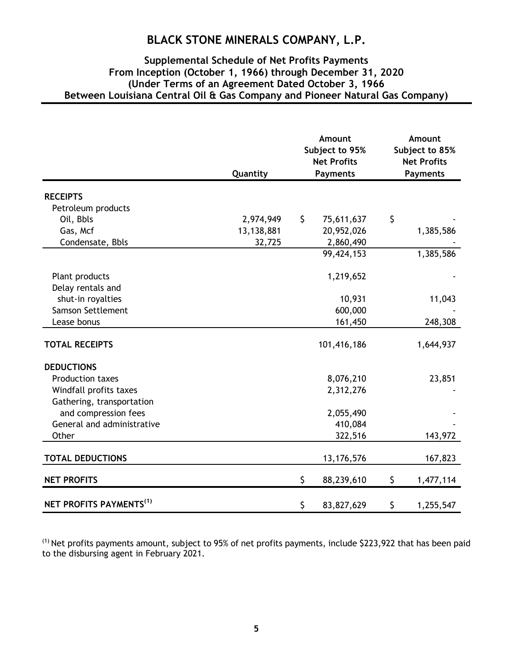#### **Supplemental Schedule of Net Profits Payments From Inception (October 1, 1966) through December 31, 2020 (Under Terms of an Agreement Dated October 3, 1966 Between Louisiana Central Oil & Gas Company and Pioneer Natural Gas Company)**

|                                     |            | Amount<br>Subject to 95%<br><b>Net Profits</b><br><b>Payments</b> |              | Amount<br>Subject to 85%<br><b>Net Profits</b><br><b>Payments</b> |           |
|-------------------------------------|------------|-------------------------------------------------------------------|--------------|-------------------------------------------------------------------|-----------|
|                                     | Quantity   |                                                                   |              |                                                                   |           |
| <b>RECEIPTS</b>                     |            |                                                                   |              |                                                                   |           |
| Petroleum products                  |            |                                                                   |              |                                                                   |           |
| Oil, Bbls                           | 2,974,949  | \$                                                                | 75,611,637   | \$                                                                |           |
| Gas, Mcf                            | 13,138,881 |                                                                   | 20,952,026   |                                                                   | 1,385,586 |
| Condensate, Bbls                    | 32,725     |                                                                   | 2,860,490    |                                                                   |           |
|                                     |            |                                                                   | 99,424,153   |                                                                   | 1,385,586 |
| Plant products                      |            |                                                                   | 1,219,652    |                                                                   |           |
| Delay rentals and                   |            |                                                                   |              |                                                                   |           |
| shut-in royalties                   |            |                                                                   | 10,931       |                                                                   | 11,043    |
| Samson Settlement                   |            |                                                                   | 600,000      |                                                                   |           |
| Lease bonus                         |            |                                                                   | 161,450      |                                                                   | 248,308   |
| <b>TOTAL RECEIPTS</b>               |            |                                                                   | 101,416,186  |                                                                   | 1,644,937 |
| <b>DEDUCTIONS</b>                   |            |                                                                   |              |                                                                   |           |
| <b>Production taxes</b>             |            |                                                                   | 8,076,210    |                                                                   | 23,851    |
| Windfall profits taxes              |            |                                                                   | 2,312,276    |                                                                   |           |
| Gathering, transportation           |            |                                                                   |              |                                                                   |           |
| and compression fees                |            |                                                                   | 2,055,490    |                                                                   |           |
| General and administrative          |            |                                                                   | 410,084      |                                                                   |           |
| Other                               |            |                                                                   | 322,516      |                                                                   | 143,972   |
| <b>TOTAL DEDUCTIONS</b>             |            |                                                                   | 13, 176, 576 |                                                                   | 167,823   |
| <b>NET PROFITS</b>                  |            | \$                                                                | 88,239,610   | \$                                                                | 1,477,114 |
| NET PROFITS PAYMENTS <sup>(1)</sup> |            | \$                                                                | 83,827,629   | \$                                                                | 1,255,547 |

(1) Net profits payments amount, subject to 95% of net profits payments, include \$223,922 that has been paid to the disbursing agent in February 2021.